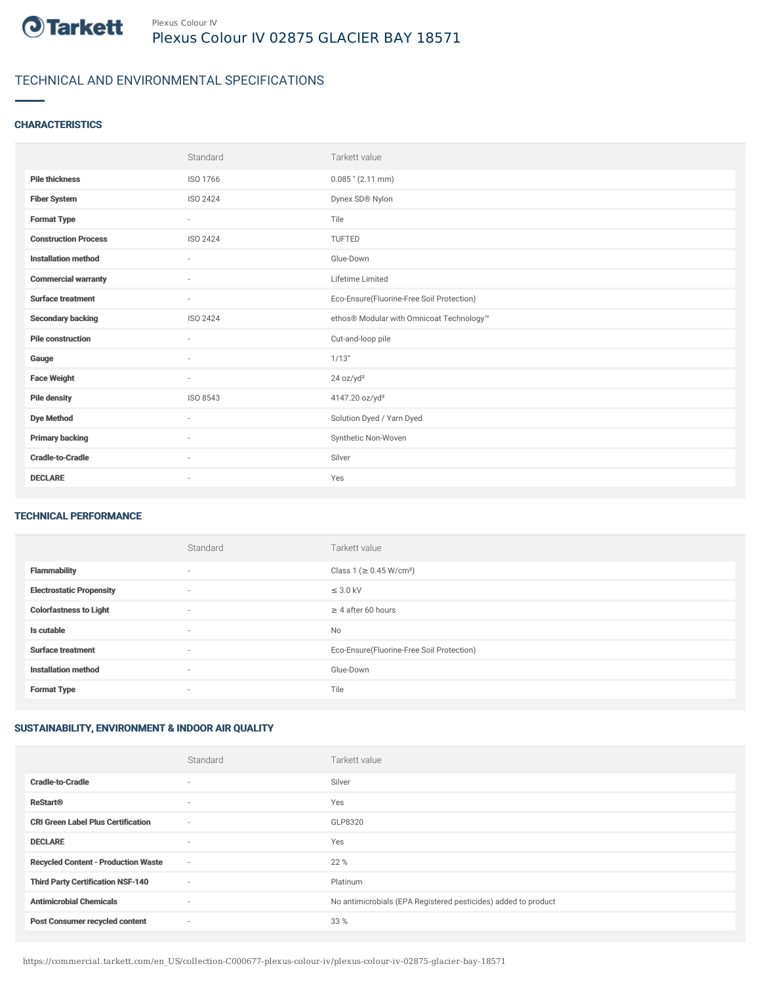

# TECHNICAL AND ENVIRONMENTAL SPECIFICATIONS

### **CHARACTERISTICS**

|                             | Standard                 | Tarkett value                             |
|-----------------------------|--------------------------|-------------------------------------------|
| <b>Pile thickness</b>       | ISO 1766                 | $0.085$ " (2.11 mm)                       |
| <b>Fiber System</b>         | ISO 2424                 | Dynex SD® Nylon                           |
| <b>Format Type</b>          | $\sim$                   | Tile                                      |
| <b>Construction Process</b> | ISO 2424                 | <b>TUFTED</b>                             |
| <b>Installation method</b>  | $\overline{\phantom{a}}$ | Glue-Down                                 |
| <b>Commercial warranty</b>  | $\sim$                   | Lifetime Limited                          |
| <b>Surface treatment</b>    | $\sim$                   | Eco-Ensure(Fluorine-Free Soil Protection) |
| <b>Secondary backing</b>    | ISO 2424                 | ethos® Modular with Omnicoat Technology™  |
| <b>Pile construction</b>    | $\sim$                   | Cut-and-loop pile                         |
| Gauge                       | ٠                        | 1/13"                                     |
| <b>Face Weight</b>          | $\overline{\phantom{a}}$ | 24 oz/yd <sup>2</sup>                     |
| <b>Pile density</b>         | ISO 8543                 | 4147.20 oz/yd <sup>3</sup>                |
| <b>Dye Method</b>           | ٠                        | Solution Dyed / Yarn Dyed                 |
| <b>Primary backing</b>      | $\sim$                   | Synthetic Non-Woven                       |
| <b>Cradle-to-Cradle</b>     | $\sim$                   | Silver                                    |
| <b>DECLARE</b>              | ٠                        | Yes                                       |

#### TECHNICAL PERFORMANCE

|                                 | Standard                 | Tarkett value                             |
|---------------------------------|--------------------------|-------------------------------------------|
| <b>Flammability</b>             | $\overline{\phantom{a}}$ | Class 1 (≥ 0.45 W/cm <sup>2</sup> )       |
| <b>Electrostatic Propensity</b> | $\overline{\phantom{a}}$ | $\leq$ 3.0 kV                             |
| <b>Colorfastness to Light</b>   | $\overline{\phantom{a}}$ | $\geq 4$ after 60 hours                   |
| Is cutable                      | $\sim$                   | No                                        |
| <b>Surface treatment</b>        | $\sim$                   | Eco-Ensure(Fluorine-Free Soil Protection) |
| <b>Installation method</b>      | $\overline{\phantom{a}}$ | Glue-Down                                 |
| <b>Format Type</b>              | $\overline{\phantom{a}}$ | Tile                                      |

## SUSTAINABILITY, ENVIRONMENT & INDOOR AIR QUALITY

|                                            | Standard                 | Tarkett value                                                  |
|--------------------------------------------|--------------------------|----------------------------------------------------------------|
| <b>Cradle-to-Cradle</b>                    | $\overline{\phantom{a}}$ | Silver                                                         |
| <b>ReStart®</b>                            | $\overline{\phantom{a}}$ | Yes                                                            |
| <b>CRI Green Label Plus Certification</b>  | $\sim$                   | GLP8320                                                        |
| <b>DECLARE</b>                             | $\overline{\phantom{a}}$ | Yes                                                            |
| <b>Recycled Content - Production Waste</b> | $\sim$                   | 22 %                                                           |
| <b>Third Party Certification NSF-140</b>   | $\sim$                   | Platinum                                                       |
| <b>Antimicrobial Chemicals</b>             | $\overline{\phantom{a}}$ | No antimicrobials (EPA Registered pesticides) added to product |
| <b>Post Consumer recycled content</b>      | ٠                        | 33 %                                                           |